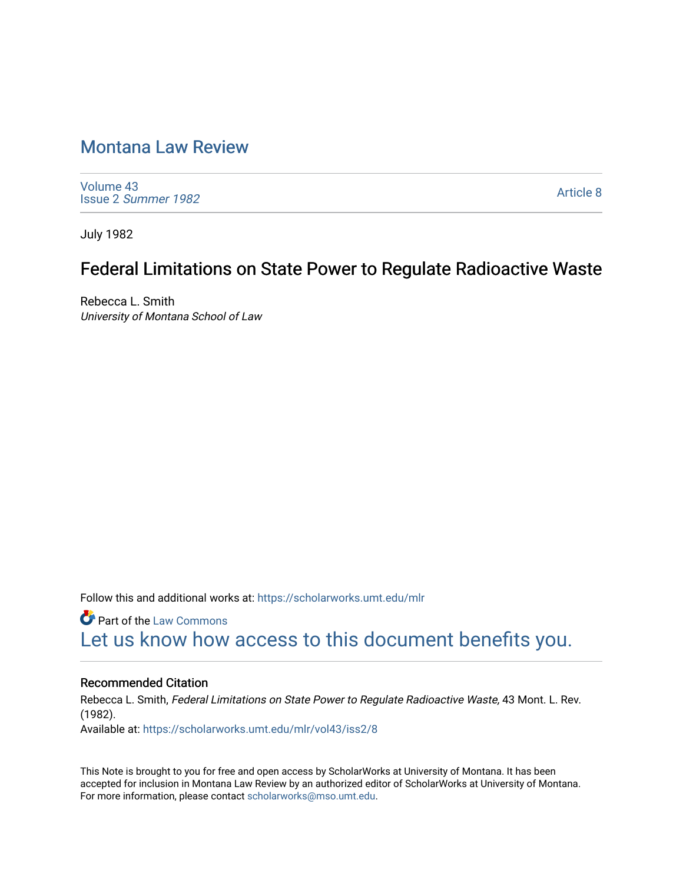# [Montana Law Review](https://scholarworks.umt.edu/mlr)

[Volume 43](https://scholarworks.umt.edu/mlr/vol43) Issue 2 [Summer 1982](https://scholarworks.umt.edu/mlr/vol43/iss2) 

[Article 8](https://scholarworks.umt.edu/mlr/vol43/iss2/8) 

July 1982

## Federal Limitations on State Power to Regulate Radioactive Waste

Rebecca L. Smith University of Montana School of Law

Follow this and additional works at: [https://scholarworks.umt.edu/mlr](https://scholarworks.umt.edu/mlr?utm_source=scholarworks.umt.edu%2Fmlr%2Fvol43%2Fiss2%2F8&utm_medium=PDF&utm_campaign=PDFCoverPages) 

**C** Part of the [Law Commons](http://network.bepress.com/hgg/discipline/578?utm_source=scholarworks.umt.edu%2Fmlr%2Fvol43%2Fiss2%2F8&utm_medium=PDF&utm_campaign=PDFCoverPages) [Let us know how access to this document benefits you.](https://goo.gl/forms/s2rGfXOLzz71qgsB2) 

## Recommended Citation

Rebecca L. Smith, Federal Limitations on State Power to Regulate Radioactive Waste, 43 Mont. L. Rev. (1982). Available at: [https://scholarworks.umt.edu/mlr/vol43/iss2/8](https://scholarworks.umt.edu/mlr/vol43/iss2/8?utm_source=scholarworks.umt.edu%2Fmlr%2Fvol43%2Fiss2%2F8&utm_medium=PDF&utm_campaign=PDFCoverPages) 

This Note is brought to you for free and open access by ScholarWorks at University of Montana. It has been accepted for inclusion in Montana Law Review by an authorized editor of ScholarWorks at University of Montana. For more information, please contact [scholarworks@mso.umt.edu.](mailto:scholarworks@mso.umt.edu)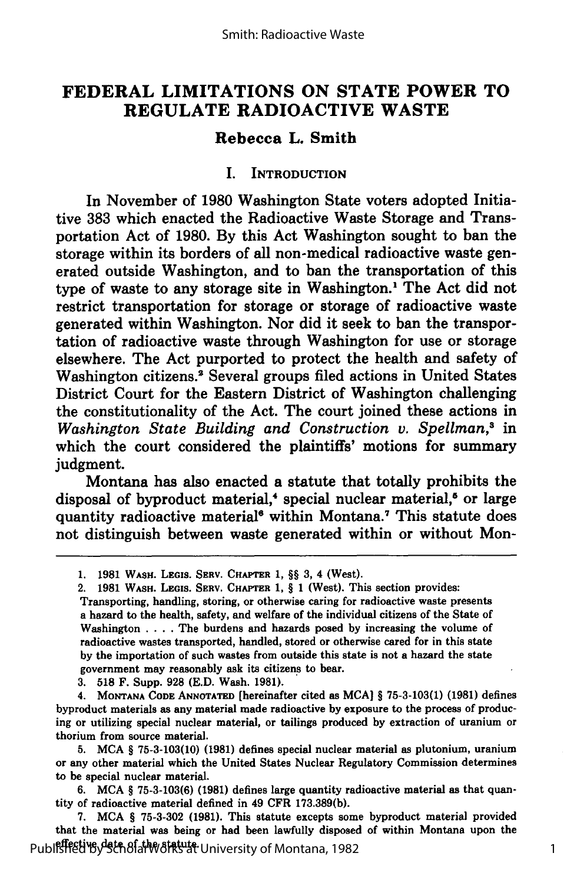## **FEDERAL LIMITATIONS ON STATE POWER TO REGULATE RADIOACTIVE WASTE**

## **Rebecca L. Smith**

## **I. INTRODUCTION**

In November of **1980** Washington State voters adopted Initiative **383** which enacted the Radioactive Waste Storage and Transportation Act of **1980. By** this Act Washington sought to ban the storage within its borders of all non-medical radioactive waste generated outside Washington, and to ban the transportation of this type of waste to any storage site in Washington.' The Act did not restrict transportation for storage or storage of radioactive waste generated within Washington. Nor did it seek to ban the transportation of radioactive waste through Washington for use or storage elsewhere. The Act purported to protect the health and safety of Washington citizens.2 Several groups filed actions in United States District Court for the Eastern District of Washington challenging the constitutionality of the Act. The court joined these actions in *Washington State Building and Construction v. Speilman,3* in which the court considered the plaintiffs' motions for summary judgment.

Montana has also enacted a statute that totally prohibits the disposal of byproduct material,<sup>4</sup> special nuclear material,<sup>5</sup> or large quantity radioactive material<sup>6</sup> within Montana.<sup>7</sup> This statute does not distinguish between waste generated within or without Mon-

**3. 518** F. Supp. **928 (E.D.** Wash. **1981).**

**4. MONTANA CODE ANNOTATED** [hereinafter cited as **MCA]** § **75-3-103(1) (1981)** defines byproduct materials as any material made radioactive **by** exposure to the process of producing or utilizing special nuclear material, or tailings produced **by** extraction of uranium or thorium from source material.

**5. MCA** § **75-3-103(10) (1981)** defines special nuclear material as plutonium, uranium or any other material which the United States Nuclear Regulatory Commission determines to be special nuclear material.

**6. MCA** § **75-3-103(6) (1981)** defines large quantity radioactive material as that quantity of radioactive material defined in 49 CFR **173.389(b).**

**7. MCA** § **75-3-302 (1981).** This statute excepts some byproduct material provided that the material was being or had been lawfully disposed of within Montana upon the Published by Gather at the statute. 1982

**<sup>1. 1981</sup>** WASH. **LEGIS.** SERV. **CHAPrER 1,** §§ **3,** 4 (West).

<sup>2.</sup> **1981** WASH. LEGIS. SERV. CHAPTER **1,** § **1** (West). This section provides:

Transporting, handling, storing, or otherwise caring for radioactive waste presents a hazard to the health, safety, and welfare of the individual citizens of the State of Washington **....** The burdens and hazards posed **by** increasing the volume of radioactive wastes transported, handled, stored or otherwise cared for in this state **by** the importation of such wastes from outside this state is not a hazard the state government may reasonably ask its citizens to bear.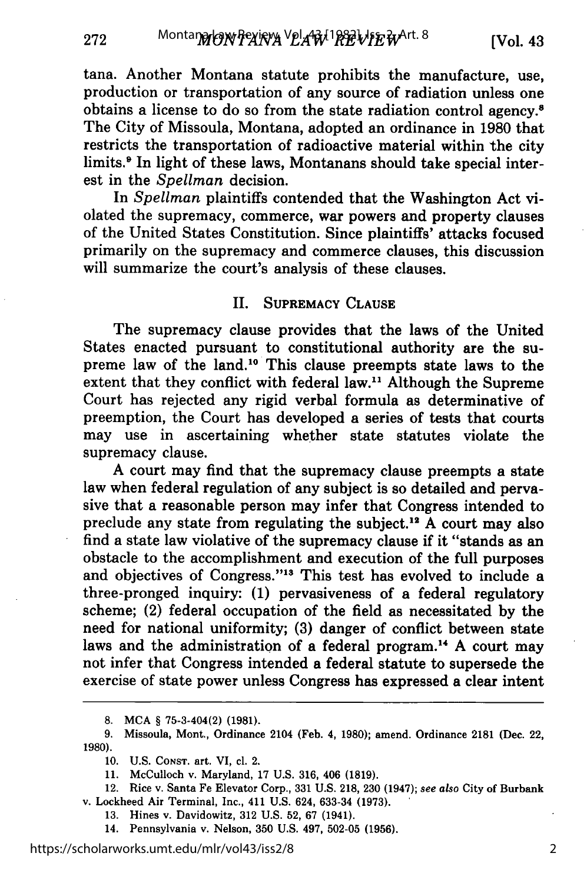tana. Another Montana statute prohibits the manufacture, use, production or transportation of any source of radiation unless one obtains a license to do so from the state radiation control agency.<sup>8</sup> The City of Missoula, Montana, adopted an ordinance in 1980 that restricts the transportation of radioactive material within the city limits.<sup>9</sup> In light of these laws, Montanans should take special interest in the *Spellman* decision.

In *Spellman* plaintiffs contended that the Washington Act violated the supremacy, commerce, war powers and property clauses of the United States Constitution. Since plaintiffs' attacks focused primarily on the supremacy and commerce clauses, this discussion will summarize the court's analysis of these clauses.

## II. SUPREMACY CLAUSE

The supremacy clause provides that the laws of the United States enacted pursuant to constitutional authority are the supreme law of the land.10 This clause preempts state laws to the extent that they conflict with federal law." Although the Supreme Court has rejected any rigid verbal formula as determinative of preemption, the Court has developed a series of tests that courts may use in ascertaining whether state statutes violate the supremacy clause.

A court may find that the supremacy clause preempts a state law when federal regulation of any subject is so detailed and pervasive that a reasonable person may infer that Congress intended to preclude any state from regulating the subject.<sup>12</sup> A court may also find a state law violative of the supremacy clause if it "stands as an obstacle to the accomplishment and execution of the full purposes and objectives of Congress."<sup>13</sup> This test has evolved to include a three-pronged inquiry: **(1)** pervasiveness of a federal regulatory scheme; (2) federal occupation of the field as necessitated by the need for national uniformity; **(3)** danger of conflict between state laws and the administration of a federal program.<sup>14</sup> A court may not infer that Congress intended a federal statute to supersede the exercise of state power unless Congress has expressed a clear intent

- **13.** Hines v. Davidowitz, **312** U.S. **52, 67** (1941).
- 14. Pennsylvania v. Nelson, **350** U.S. 497, **502-05 (1956).**

**<sup>8.</sup>** MCA § 75-3-404(2) **(1981).**

**<sup>9.</sup>** Missoula, Mont., Ordinance 2104 (Feb. 4, 1980); amend. Ordinance **2181** (Dec. 22, **1980).**

**<sup>10.</sup>** U.S. **CONST.** art. VI, cl. 2.

<sup>11.</sup> McCulloch v. Maryland, 17 U.S. 316, 406 **(1819).**

<sup>12.</sup> Rice v. Santa Fe Elevator Corp., **331** U.S. **218, 230** (1947); *see also* City of Burbank v. Lockheed Air Terminal, Inc., 411 U.S. 624, **633-34 (1973).**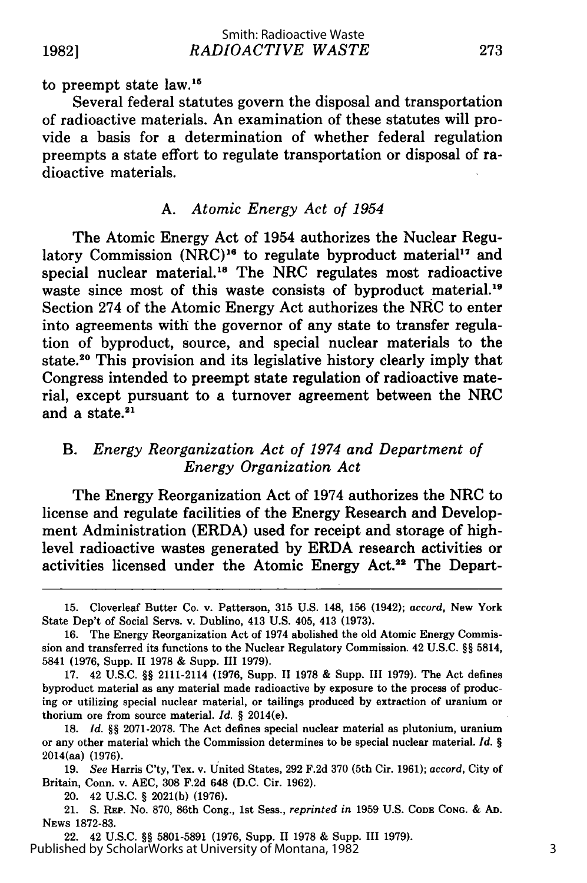to preempt state law.<sup>15</sup>

Several federal statutes govern the disposal and transportation of radioactive materials. An examination of these statutes will provide a basis for a determination of whether federal regulation preempts a state effort to regulate transportation or disposal of radioactive materials.

## A. *Atomic Energy Act of 1954*

The Atomic Energy Act of 1954 authorizes the Nuclear Regulatory Commission  $(NRC)^{16}$  to regulate byproduct material<sup>17</sup> and special nuclear material.<sup>18</sup> The NRC regulates most radioactive waste since most of this waste consists of byproduct material.<sup>19</sup> Section 274 of the Atomic Energy Act authorizes the NRC to enter into agreements with the governor of any state to transfer regulation of byproduct, source, and special nuclear materials to the state.<sup>20</sup> This provision and its legislative history clearly imply that Congress intended to preempt state regulation of radioactive material, except pursuant to a turnover agreement between the NRC and a state. $21$ 

## *B. Energy Reorganization Act of 1974 and Department of Energy Organization Act*

The Energy Reorganization Act of 1974 authorizes the NRC to license and regulate facilities of the Energy Research and Development Administration (ERDA) used for receipt and storage of highlevel radioactive wastes generated by ERDA research activities or activities licensed under the Atomic Energy Act.<sup>22</sup> The Depart-

<sup>15.</sup> Cloverleaf Butter Co. v. Patterson, 315 U.S. 148, 156 (1942); *accord,* New York State Dep't of Social Servs. v. Dublino, 413 U.S. 405, 413 (1973).

<sup>16.</sup> The Energy Reorganization Act of 1974 abolished the old Atomic Energy Commission and transferred its functions to the Nuclear Regulatory Commission. 42 U.S.C. **§§** 5814, 5841 (1976, Supp. 11 1978 & Supp. III 1979).

<sup>17. 42</sup> U.S.C. **§§** 2111-2114 (1976, Supp. II 1978 & Supp. III 1979). The Act defines byproduct material as any material made radioactive by exposure to the process of producing or utilizing special nuclear material, or tailings produced **by** extraction of uranium or thorium ore from source material. *Id. §* 2014(e).

**<sup>18.</sup>** *Id. §§* **2071-2078.** The Act defines special nuclear material as plutonium, uranium or any other material which the Commission determines to be special nuclear material. *Id. §* 2014(aa) **(1976).**

<sup>19.</sup> *See* Harris C'ty, Tex. v. United States, 292 F.2d 370 (5th Cir. 1961); *accord,* City of Britain, Conn. v. AEC, 308 F.2d 648 (D.C. Cir. 1962).

<sup>20. 42</sup> U.S.C. § 2021(b) (1976).

<sup>21.</sup> **S.** REP. No. 870, 86th Cong., 1st Sess., *reprinted in* 1959 U.S. **CODE** CONG. & **AD.** NEws 1872-83.

<sup>22. 42</sup> U.S.C. **§§** 5801-5891 (1976, Supp. II 1978 & Supp. **III** 1979). Published by ScholarWorks at University of Montana, 1982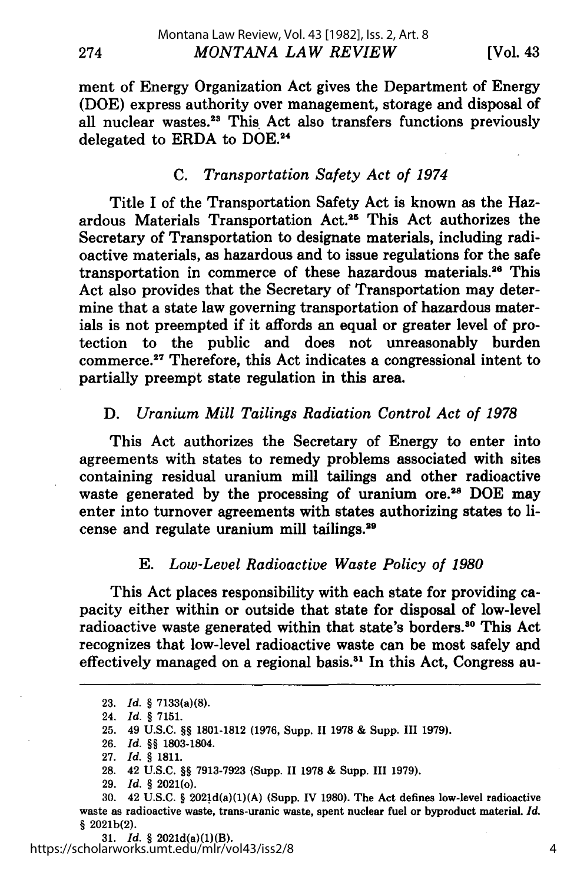ment of Energy Organization Act gives the Department of Energy (DOE) express authority over management, storage and disposal of all nuclear wastes.<sup>23</sup> This Act also transfers functions previously delegated to ERDA to DOE.<sup>24</sup>

## *C. Transportation Safety Act of 1974*

Title I of the Transportation Safety Act is known as the Hazardous Materials Transportation Act.<sup>25</sup> This Act authorizes the Secretary of Transportation to designate materials, including radioactive materials, as hazardous and to issue regulations for the safe transportation in commerce of these hazardous materials.<sup>26</sup> This Act also provides that the Secretary of Transportation may determine that a state law governing transportation of hazardous materials is not preempted if it affords an equal or greater level of protection to the public and does not unreasonably burden commerce.<sup>27</sup> Therefore, this Act indicates a congressional intent to partially preempt state regulation in this area.

## D. *Uranium Mill Tailings Radiation Control Act of 1978*

This Act authorizes the Secretary of Energy to enter into agreements with states to remedy problems associated with sites containing residual uranium mill tailings and other radioactive waste generated by the processing of uranium **ore.28** DOE may enter into turnover agreements with states authorizing states to license and regulate uranium mill tailings.<sup>29</sup>

## *E. Low-Level Radioactive Waste Policy of 1980*

This Act places responsibility with each state for providing capacity either within or outside that state for disposal of low-level radioactive waste generated within that state's borders.<sup>30</sup> This Act recognizes that low-level radioactive waste can be most safely and effectively managed on a regional basis.<sup>31</sup> In this Act, Congress au-

274

**<sup>23.</sup>** *Id.* **§** 7133(a)(8).

<sup>24.</sup> *Id.* **§ 7151.**

<sup>25. 49</sup> U.S.C. **§§** 1801-1812 (1976, Supp. **11** 1978 & Supp. III 1979).

**<sup>26.</sup>** *Id.* **§§** 1803-1804.

**<sup>27.</sup>** *Id. §* **1811.**

<sup>28. 42</sup> U.S.C. **§§** 7913-7923 (Supp. **11** 1978 & Supp. III 1979).

<sup>29.</sup> *Id.* **§** 2021(o).

<sup>30. 42</sup> U.S.C. **§** 2021d(a)(1)(A) (Supp. IV 1980). The Act defines low-level radioactive waste as radioactive waste, trans-uranic waste, spent nuclear fuel or byproduct material. *Id.* § 2021b(2).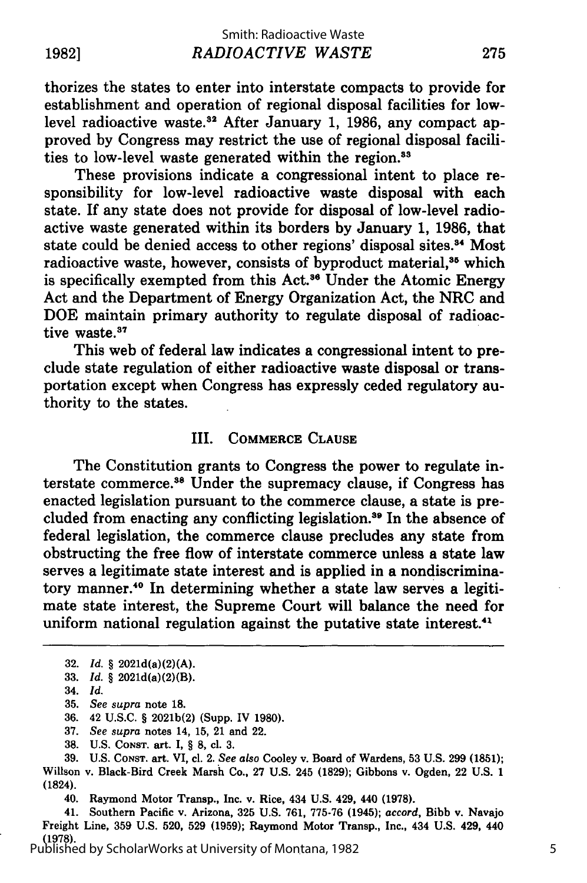thorizes the states to enter into interstate compacts to provide for establishment and operation of regional disposal facilities for lowlevel radioactive waste.<sup>32</sup> After January 1, 1986, any compact approved by Congress may restrict the use of regional disposal facilities to low-level waste generated within the region.<sup>33</sup>

These provisions indicate a congressional intent to place responsibility for low-level radioactive waste disposal with each state. If any state does not provide for disposal of low-level radioactive waste generated within its borders by January 1, 1986, that state could be denied access to other regions' disposal sites.<sup>34</sup> Most radioactive waste, however, consists of byproduct material,<sup>35</sup> which is specifically exempted from this Act.<sup>36</sup> Under the Atomic Energy Act and the Department of Energy Organization Act, the NRC and DOE maintain primary authority to regulate disposal of radioactive waste.<sup>37</sup>

This web of federal law indicates a congressional intent to preclude state regulation of either radioactive waste disposal or transportation except when Congress has expressly ceded regulatory authority to the states.

### III. COMMERCE **CLAUSE**

The Constitution grants to Congress the power to regulate interstate commerce.<sup>38</sup> Under the supremacy clause, if Congress has enacted legislation pursuant to the commerce clause, a state is precluded from enacting any conflicting legislation.<sup>39</sup> In the absence of federal legislation, the commerce clause precludes any state from obstructing the free flow of interstate commerce unless a state law serves a legitimate state interest and is applied in a nondiscriminatory manner.40 In determining whether a state law serves a legitimate state interest, the Supreme Court will balance the need for uniform national regulation against the putative state interest.<sup>41</sup>

36. 42 U.S.C. § 2021b(2) (Supp. IV 1980).

38. U.S. **CONST.** art. I, § **8,** cl. **3.**

**39. U.S. CONST.** art. VI, cl. 2. *See also* Cooley v. Board of Wardens, **53 U.S. 299 (1851);** Willson v. Black-Bird Creek Marsh Co., **27 U.S.** 245 **(1829);** Gibbons v. Ogden, 22 **U.S. 1** (1824).

40. Raymond Motor Transp., Inc. v. Rice, 434 **U.S.** 429, 440 **(1978).**

41. Southern Pacific v. Arizona, **325 U.S. 761, 775-76** (1945); *accord,* Bibb v. Navajo Freight Line, **359 U.S. 520, 529 (1959);** Raymond Motor Transp., Inc., 434 **U.S.** 429, 440 **(1978).** Published by ScholarWorks at University of Montana, 1982

**<sup>32.</sup>** *Id. §* 2021d(a)(2)(A). **33.** *Id.* §2021d(a)(2)(B).

<sup>34.</sup> *Id.*

<sup>35.</sup> *See supra* note **18.**

<sup>37.</sup> *See supra* notes 14, 15, 21 and 22.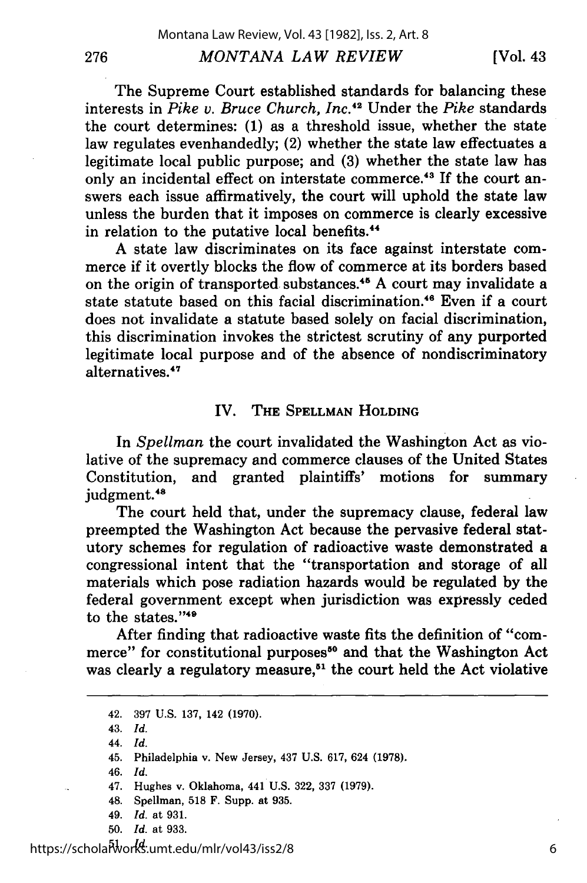#### *MONTANA LAW REVIEW*

[Vol. 43

The Supreme Court established standards for balancing these interests in *Pike v. Bruce Church, Inc. <sup>42</sup>*Under the *Pike* standards the court determines: (1) as a threshold issue, whether the state law regulates evenhandedly; (2) whether the state law effectuates a legitimate local public purpose; and (3) whether the state law has only an incidental effect on interstate commerce.<sup>43</sup> If the court answers each issue affirmatively, the court will uphold the state law unless the burden that it imposes on commerce is clearly excessive in relation to the putative local benefits.<sup>44</sup>

A state law discriminates on its face against interstate commerce if it overtly blocks the flow of commerce at its borders based on the origin of transported substances.<sup>45</sup> A court may invalidate a state statute based on this facial discrimination.<sup>46</sup> Even if a court does not invalidate a statute based solely on facial discrimination, this discrimination invokes the strictest scrutiny of any purported legitimate local purpose and of the absence of nondiscriminatory alternatives.47

## IV. **THE SPELLMAN HOLDING**

In *Spellman* the court invalidated the Washington Act as violative of the supremacy and commerce clauses of the United States Constitution, and granted plaintiffs' motions for summary judgment.48

The court held that, under the supremacy clause, federal law preempted the Washington Act because the pervasive federal statutory schemes for regulation of radioactive waste demonstrated a congressional intent that the "transportation and storage of all materials which pose radiation hazards would be regulated **by** the federal government except when jurisdiction was expressly ceded to the states."<sup>49</sup>

After finding that radioactive waste fits the definition of "commerce" for constitutional purposes<sup>50</sup> and that the Washington Act was clearly a regulatory **measure,51** the court held the Act violative

43. *Id.*

276

44. *Id.*

46. *Id.*

- 49. *Id.* at 931.
- 50. *Id.* at 933.

<sup>42. 397</sup> U.S. 137, 142 (1970).

<sup>45.</sup> Philadelphia v. New Jersey, 437 U.S. 617, 624 (1978).

<sup>47.</sup> Hughes v. Oklahoma, 441 U.S. 322, 337 (1979).

<sup>48.</sup> Spellman, 518 F. Supp. at 935.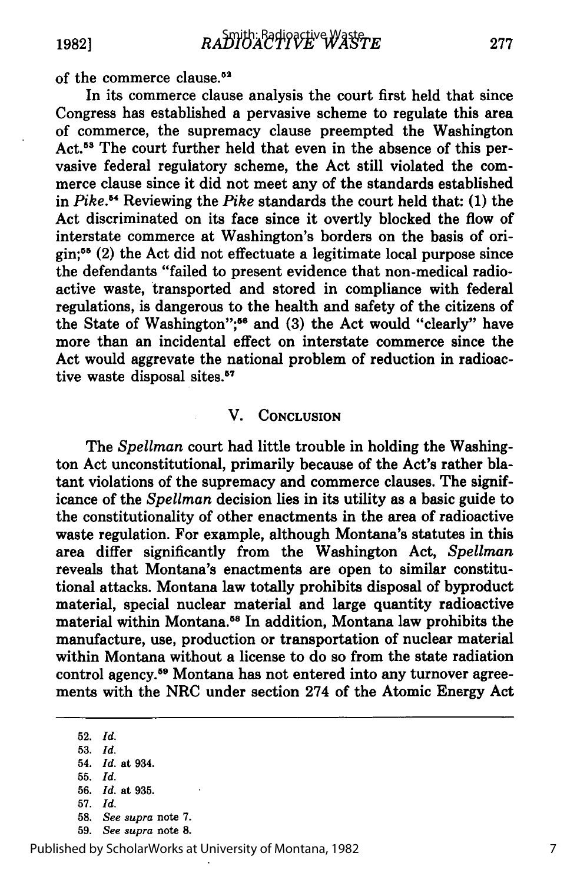of the commerce clause.<sup>52</sup>

In its commerce clause analysis the court first held that since Congress has established a pervasive scheme to regulate this area of commerce, the supremacy clause preempted the Washington Act.<sup>53</sup> The court further held that even in the absence of this pervasive federal regulatory scheme, the Act still violated the commerce clause since it did not meet any of the standards established in *Pike.5 "* Reviewing the *Pike* standards the court held that: **(1)** the Act discriminated on its face since it overtly blocked the flow of interstate commerce at Washington's borders on the basis of origin;55 (2) the Act did not effectuate a legitimate local purpose since the defendants "failed to present evidence that non-medical radioactive waste, transported and stored in compliance with federal regulations, is dangerous to the health and safety of the citizens of the State of Washington"; 56 and (3) the Act would "clearly" have more than an incidental effect on interstate commerce since the Act would aggrevate the national problem of reduction in radioactive waste disposal sites.<sup>67</sup>

## V. **CONCLUSION**

The *Spellman* court had little trouble in holding the Washington Act unconstitutional, primarily because of the Act's rather blatant violations of the supremacy and commerce clauses. The significance of the *Spellman* decision lies in its utility as a basic guide to the constitutionality of other enactments in the area of radioactive waste regulation. For example, although Montana's statutes in this area differ significantly from the Washington Act, *Spellman* reveals that Montana's enactments are open to similar constitutional attacks. Montana law totally prohibits disposal of byproduct material, special nuclear material and large quantity radioactive material within Montana.58 In addition, Montana law prohibits the manufacture, use, production or transportation of nuclear material within Montana without a license to do so from the state radiation control agency.<sup>59</sup> Montana has not entered into any turnover agreements with the NRC under section 274 of the Atomic Energy Act

**52.** *Id.*

**55.** *Id.*

- **57.** *Id.*
- 58. *See supra* note 7.
- 59. *See supra* note **8.**

Published by ScholarWorks at University of Montana, 1982

**<sup>53.</sup>** *Id.* 54. *Id.* at 934.

**<sup>56.</sup>** *Id.* at **935.**